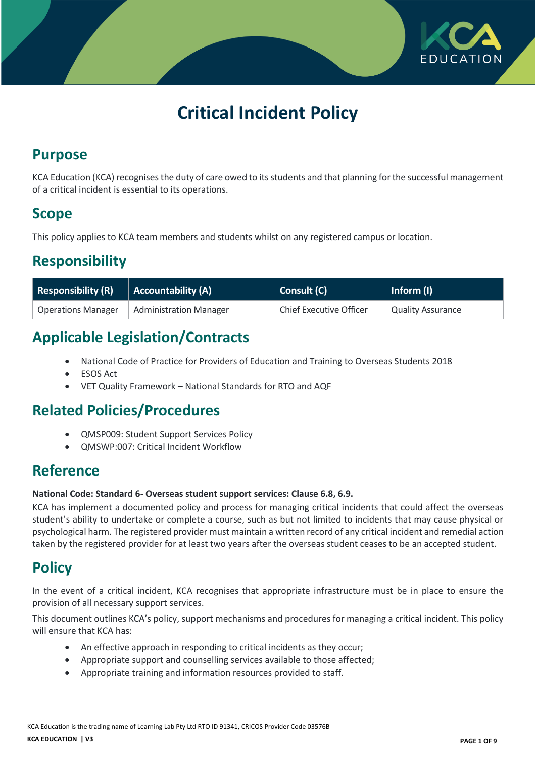

# **Critical Incident Policy**

## **Purpose**

KCA Education (KCA) recognises the duty of care owed to its students and that planning for the successful management of a critical incident is essential to its operations.

## **Scope**

This policy applies to KCA team members and students whilst on any registered campus or location.

## **Responsibility**

| $\overline{ }$ Responsibility (R) | Accountability (A)            | Consult (C)                    | Inform (I)               |
|-----------------------------------|-------------------------------|--------------------------------|--------------------------|
| <b>Operations Manager</b>         | <b>Administration Manager</b> | <b>Chief Executive Officer</b> | <b>Quality Assurance</b> |

## **Applicable Legislation/Contracts**

- National Code of Practice for Providers of Education and Training to Overseas Students 2018
- ESOS Act
- VET Quality Framework National Standards for RTO and AQF

### **Related Policies/Procedures**

- QMSP009: Student Support Services Policy
- QMSWP:007: Critical Incident Workflow

### **Reference**

#### **National Code: Standard 6- Overseas student support services: Clause 6.8, 6.9.**

KCA has implement a documented policy and process for managing critical incidents that could affect the overseas student's ability to undertake or complete a course, such as but not limited to incidents that may cause physical or psychological harm. The registered provider must maintain a written record of any critical incident and remedial action taken by the registered provider for at least two years after the overseas student ceases to be an accepted student.

### **Policy**

In the event of a critical incident, KCA recognises that appropriate infrastructure must be in place to ensure the provision of all necessary support services.

This document outlines KCA's policy, support mechanisms and procedures for managing a critical incident. This policy will ensure that KCA has:

- An effective approach in responding to critical incidents as they occur;
- Appropriate support and counselling services available to those affected;
- Appropriate training and information resources provided to staff.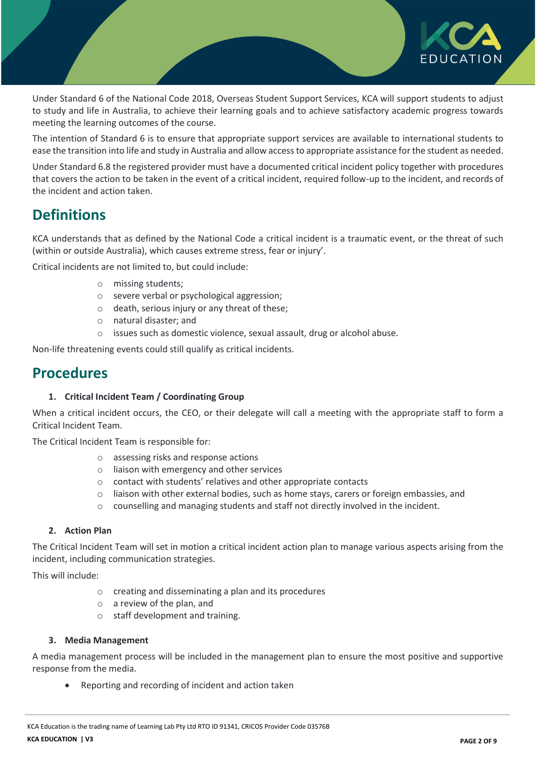

Under Standard 6 of the National Code 2018, Overseas Student Support Services, KCA will support students to adjust to study and life in Australia, to achieve their learning goals and to achieve satisfactory academic progress towards meeting the learning outcomes of the course.

The intention of Standard 6 is to ensure that appropriate support services are available to international students to ease the transition into life and study in Australia and allow access to appropriate assistance for the student as needed.

Under Standard 6.8 the registered provider must have a documented critical incident policy together with procedures that covers the action to be taken in the event of a critical incident, required follow-up to the incident, and records of the incident and action taken.

### **Definitions**

KCA understands that as defined by the National Code a critical incident is a traumatic event, or the threat of such (within or outside Australia), which causes extreme stress, fear or injury'.

Critical incidents are not limited to, but could include:

- o missing students;
- o severe verbal or psychological aggression;
- o death, serious injury or any threat of these;
- o natural disaster; and
- o issues such as domestic violence, sexual assault, drug or alcohol abuse.

Non-life threatening events could still qualify as critical incidents.

### **Procedures**

#### **1. Critical Incident Team / Coordinating Group**

When a critical incident occurs, the CEO, or their delegate will call a meeting with the appropriate staff to form a Critical Incident Team.

The Critical Incident Team is responsible for:

- o assessing risks and response actions
- o liaison with emergency and other services
- o contact with students' relatives and other appropriate contacts
- o liaison with other external bodies, such as home stays, carers or foreign embassies, and
- $\circ$  counselling and managing students and staff not directly involved in the incident.

#### **2. Action Plan**

The Critical Incident Team will set in motion a critical incident action plan to manage various aspects arising from the incident, including communication strategies.

This will include:

- o creating and disseminating a plan and its procedures
- o a review of the plan, and
- o staff development and training.

#### **3. Media Management**

A media management process will be included in the management plan to ensure the most positive and supportive response from the media.

Reporting and recording of incident and action taken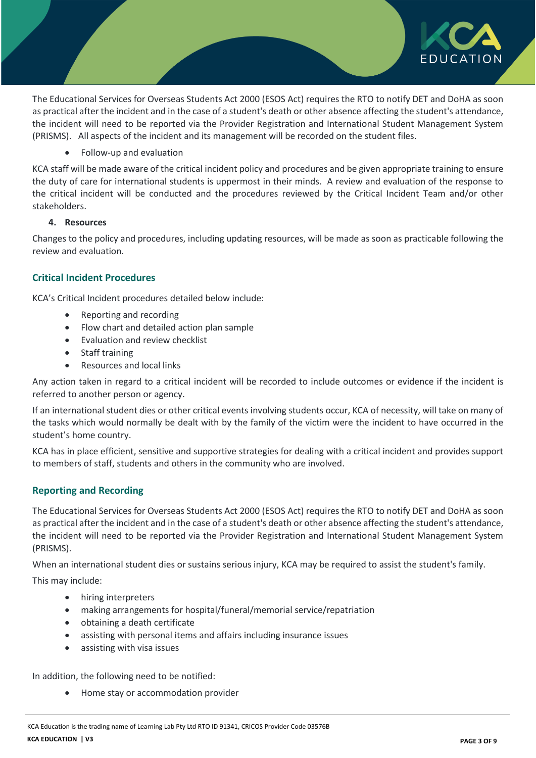

The Educational Services for Overseas Students Act 2000 (ESOS Act) requires the RTO to notify DET and DoHA as soon as practical after the incident and in the case of a student's death or other absence affecting the student's attendance, the incident will need to be reported via the Provider Registration and International Student Management System (PRISMS). All aspects of the incident and its management will be recorded on the student files.

Follow-up and evaluation

KCA staff will be made aware of the critical incident policy and procedures and be given appropriate training to ensure the duty of care for international students is uppermost in their minds. A review and evaluation of the response to the critical incident will be conducted and the procedures reviewed by the Critical Incident Team and/or other stakeholders.

#### **4. Resources**

Changes to the policy and procedures, including updating resources, will be made as soon as practicable following the review and evaluation.

#### **Critical Incident Procedures**

KCA's Critical Incident procedures detailed below include:

- Reporting and recording
- Flow chart and detailed action plan sample
- Evaluation and review checklist
- Staff training
- Resources and local links

Any action taken in regard to a critical incident will be recorded to include outcomes or evidence if the incident is referred to another person or agency.

If an international student dies or other critical events involving students occur, KCA of necessity, will take on many of the tasks which would normally be dealt with by the family of the victim were the incident to have occurred in the student's home country.

KCA has in place efficient, sensitive and supportive strategies for dealing with a critical incident and provides support to members of staff, students and others in the community who are involved.

#### **Reporting and Recording**

The Educational Services for Overseas Students Act 2000 (ESOS Act) requires the RTO to notify DET and DoHA as soon as practical after the incident and in the case of a student's death or other absence affecting the student's attendance, the incident will need to be reported via the Provider Registration and International Student Management System (PRISMS).

When an international student dies or sustains serious injury, KCA may be required to assist the student's family.

This may include:

- hiring interpreters
- making arrangements for hospital/funeral/memorial service/repatriation
- obtaining a death certificate
- assisting with personal items and affairs including insurance issues
- assisting with visa issues

In addition, the following need to be notified:

Home stay or accommodation provider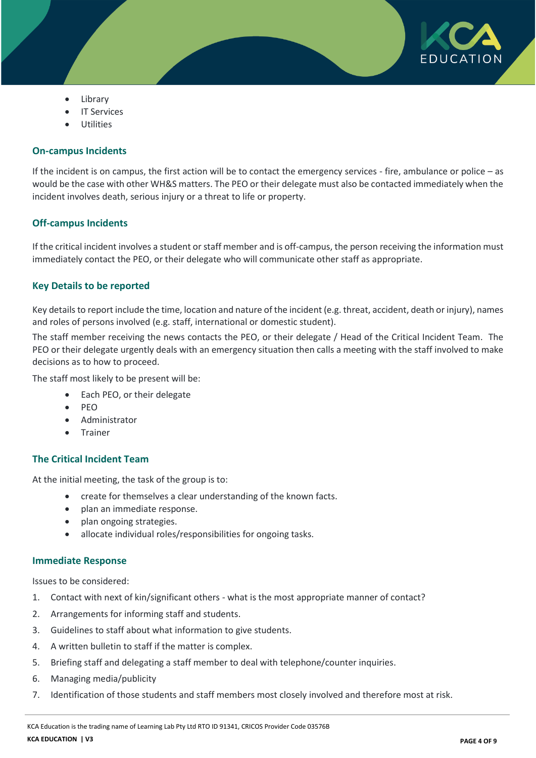

- Library
- IT Services
- Utilities

#### **On-campus Incidents**

If the incident is on campus, the first action will be to contact the emergency services - fire, ambulance or police – as would be the case with other WH&S matters. The PEO or their delegate must also be contacted immediately when the incident involves death, serious injury or a threat to life or property.

#### **Off-campus Incidents**

If the critical incident involves a student or staff member and is off-campus, the person receiving the information must immediately contact the PEO, or their delegate who will communicate other staff as appropriate.

#### **Key Details to be reported**

Key details to report include the time, location and nature of the incident (e.g. threat, accident, death or injury), names and roles of persons involved (e.g. staff, international or domestic student).

The staff member receiving the news contacts the PEO, or their delegate / Head of the Critical Incident Team. The PEO or their delegate urgently deals with an emergency situation then calls a meeting with the staff involved to make decisions as to how to proceed.

The staff most likely to be present will be:

- Each PEO, or their delegate
- $\bullet$  PEO
- Administrator
- Trainer

#### **The Critical Incident Team**

At the initial meeting, the task of the group is to:

- create for themselves a clear understanding of the known facts.
- plan an immediate response.
- plan ongoing strategies.
- allocate individual roles/responsibilities for ongoing tasks.

#### **Immediate Response**

Issues to be considered:

- 1. Contact with next of kin/significant others what is the most appropriate manner of contact?
- 2. Arrangements for informing staff and students.
- 3. Guidelines to staff about what information to give students.
- 4. A written bulletin to staff if the matter is complex.
- 5. Briefing staff and delegating a staff member to deal with telephone/counter inquiries.
- 6. Managing media/publicity
- 7. Identification of those students and staff members most closely involved and therefore most at risk.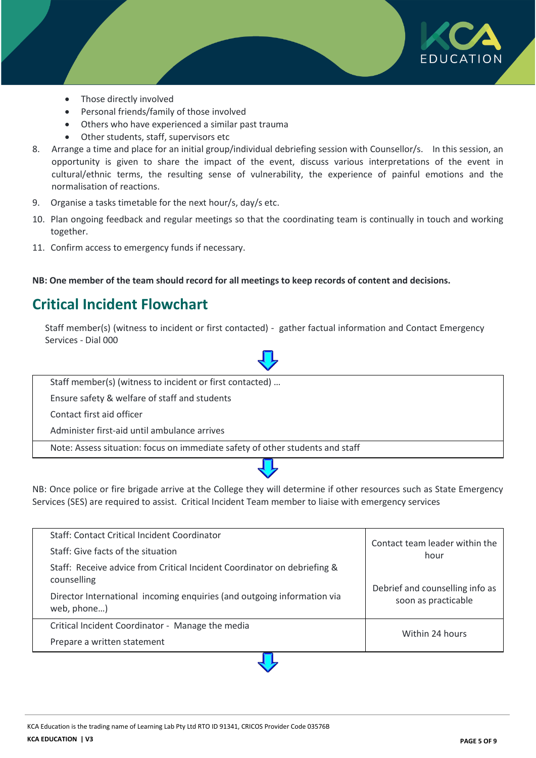

- Those directly involved
- Personal friends/family of those involved
- Others who have experienced a similar past trauma
- Other students, staff, supervisors etc
- 8. Arrange a time and place for an initial group/individual debriefing session with Counsellor/s. In this session, an opportunity is given to share the impact of the event, discuss various interpretations of the event in cultural/ethnic terms, the resulting sense of vulnerability, the experience of painful emotions and the normalisation of reactions.
- 9. Organise a tasks timetable for the next hour/s, day/s etc.
- 10. Plan ongoing feedback and regular meetings so that the coordinating team is continually in touch and working together.
- 11. Confirm access to emergency funds if necessary.

**NB: One member of the team should record for all meetings to keep records of content and decisions.**

### **Critical Incident Flowchart**

Staff member(s) (witness to incident or first contacted) - gather factual information and Contact Emergency Services - Dial 000

Staff member(s) (witness to incident or first contacted) … Ensure safety & welfare of staff and students Contact first aid officer Administer first-aid until ambulance arrives Note: Assess situation: focus on immediate safety of other students and staff

NB: Once police or fire brigade arrive at the College they will determine if other resources such as State Emergency Services (SES) are required to assist. Critical Incident Team member to liaise with emergency services

| Staff: Give facts of the situation<br>Staff: Receive advice from Critical Incident Coordinator on debriefing &<br>counselling<br>Director International incoming enquiries (and outgoing information via | hour<br>Debrief and counselling info as |
|----------------------------------------------------------------------------------------------------------------------------------------------------------------------------------------------------------|-----------------------------------------|
| web, phone)<br>Critical Incident Coordinator - Manage the media                                                                                                                                          | soon as practicable<br>Within 24 hours  |
| Prepare a written statement                                                                                                                                                                              |                                         |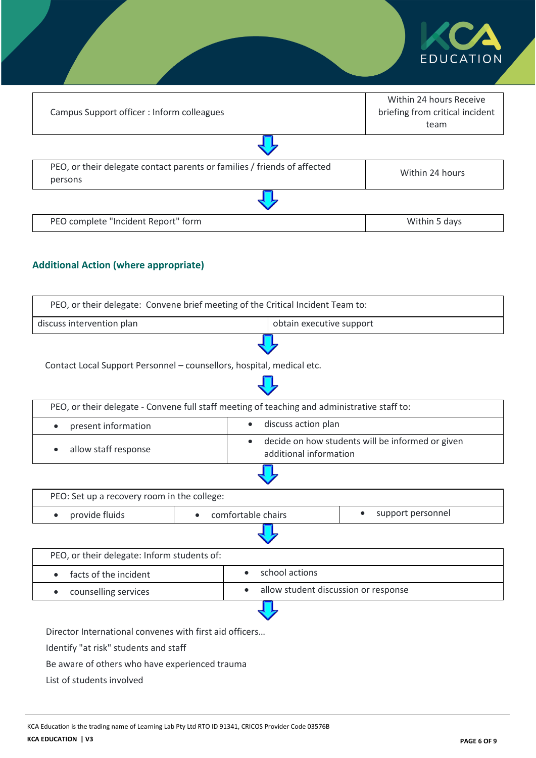|                                                                                     | EDUCATION                                                          |
|-------------------------------------------------------------------------------------|--------------------------------------------------------------------|
| Campus Support officer : Inform colleagues                                          | Within 24 hours Receive<br>briefing from critical incident<br>team |
|                                                                                     |                                                                    |
| PEO, or their delegate contact parents or families / friends of affected<br>persons | Within 24 hours                                                    |
|                                                                                     |                                                                    |
| PEO complete "Incident Report" form                                                 | Within 5 days                                                      |

### **Additional Action (where appropriate)**

| PEO, or their delegate: Convene brief meeting of the Critical Incident Team to:              |           |                                  |                                                                            |  |
|----------------------------------------------------------------------------------------------|-----------|----------------------------------|----------------------------------------------------------------------------|--|
| discuss intervention plan                                                                    |           |                                  | obtain executive support                                                   |  |
| Contact Local Support Personnel - counsellors, hospital, medical etc.                        |           |                                  |                                                                            |  |
| PEO, or their delegate - Convene full staff meeting of teaching and administrative staff to: |           |                                  |                                                                            |  |
| present information                                                                          |           | discuss action plan<br>$\bullet$ |                                                                            |  |
| allow staff response                                                                         |           | $\bullet$                        | decide on how students will be informed or given<br>additional information |  |
|                                                                                              |           |                                  |                                                                            |  |
| PEO: Set up a recovery room in the college:                                                  |           |                                  |                                                                            |  |
| provide fluids<br>$\bullet$                                                                  | $\bullet$ | comfortable chairs               | support personnel<br>$\bullet$                                             |  |
|                                                                                              |           |                                  |                                                                            |  |
| PEO, or their delegate: Inform students of:                                                  |           |                                  |                                                                            |  |
| facts of the incident                                                                        |           | school actions<br>$\bullet$      |                                                                            |  |
| counselling services<br>$\bullet$                                                            |           | $\bullet$                        | allow student discussion or response                                       |  |
|                                                                                              |           |                                  |                                                                            |  |
| Director International convenes with first aid officers                                      |           |                                  |                                                                            |  |
| Identify "at risk" students and staff                                                        |           |                                  |                                                                            |  |
| Be aware of others who have experienced trauma                                               |           |                                  |                                                                            |  |

List of students involved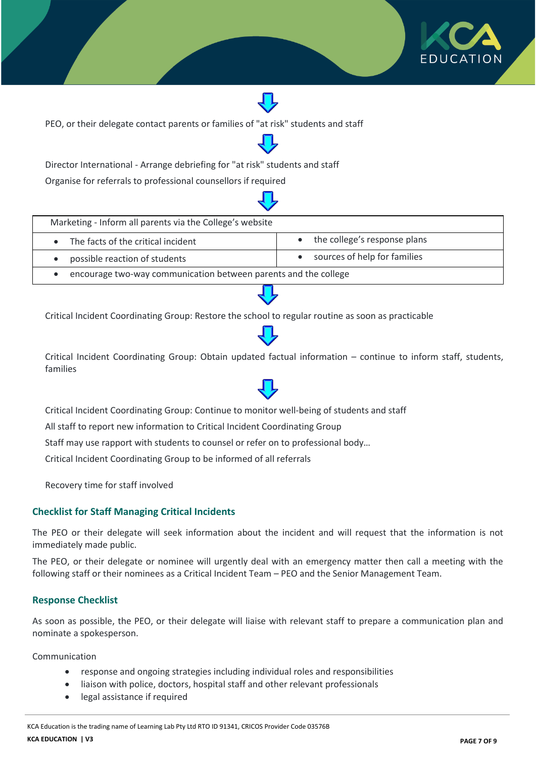

PEO, or their delegate contact parents or families of "at risk" students and staff

Director International - Arrange debriefing for "at risk" students and staff

Organise for referrals to professional counsellors if required

| Marketing - Inform all parents via the College's website        |                              |
|-----------------------------------------------------------------|------------------------------|
| The facts of the critical incident                              | the college's response plans |
| possible reaction of students                                   | sources of help for families |
| encourage two-way communication between parents and the college |                              |

Critical Incident Coordinating Group: Restore the school to regular routine as soon as practicable

Critical Incident Coordinating Group: Obtain updated factual information – continue to inform staff, students, families

Critical Incident Coordinating Group: Continue to monitor well-being of students and staff

All staff to report new information to Critical Incident Coordinating Group

Staff may use rapport with students to counsel or refer on to professional body…

Critical Incident Coordinating Group to be informed of all referrals

Recovery time for staff involved

#### **Checklist for Staff Managing Critical Incidents**

The PEO or their delegate will seek information about the incident and will request that the information is not immediately made public.

The PEO, or their delegate or nominee will urgently deal with an emergency matter then call a meeting with the following staff or their nominees as a Critical Incident Team – PEO and the Senior Management Team.

#### **Response Checklist**

As soon as possible, the PEO, or their delegate will liaise with relevant staff to prepare a communication plan and nominate a spokesperson.

Communication

- response and ongoing strategies including individual roles and responsibilities
- liaison with police, doctors, hospital staff and other relevant professionals
- legal assistance if required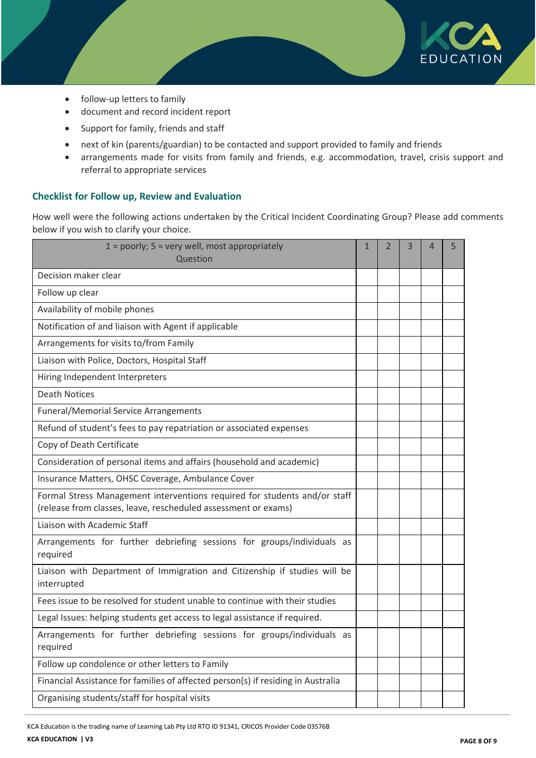

- follow-up letters to family
- document and record incident report
- Support for family, friends and staff
- next of kin (parents/guardian) to be contacted and support provided to family and friends
- arrangements made for visits from family and friends, e.g. accommodation, travel, crisis support and referral to appropriate services

#### **Checklist for Follow up, Review and Evaluation**

How well were the following actions undertaken by the Critical Incident Coordinating Group? Please add comments below if you wish to clarify your choice.

| $1 =$ poorly; $5 =$ very well, most appropriately<br>Question                                                                               | 1 | 2 | 3 | 4 | 5 |
|---------------------------------------------------------------------------------------------------------------------------------------------|---|---|---|---|---|
| Decision maker clear                                                                                                                        |   |   |   |   |   |
| Follow up clear                                                                                                                             |   |   |   |   |   |
| Availability of mobile phones                                                                                                               |   |   |   |   |   |
| Notification of and liaison with Agent if applicable                                                                                        |   |   |   |   |   |
| Arrangements for visits to/from Family                                                                                                      |   |   |   |   |   |
| Liaison with Police, Doctors, Hospital Staff                                                                                                |   |   |   |   |   |
| Hiring Independent Interpreters                                                                                                             |   |   |   |   |   |
| <b>Death Notices</b>                                                                                                                        |   |   |   |   |   |
| <b>Funeral/Memorial Service Arrangements</b>                                                                                                |   |   |   |   |   |
| Refund of student's fees to pay repatriation or associated expenses                                                                         |   |   |   |   |   |
| Copy of Death Certificate                                                                                                                   |   |   |   |   |   |
| Consideration of personal items and affairs (household and academic)                                                                        |   |   |   |   |   |
| Insurance Matters, OHSC Coverage, Ambulance Cover                                                                                           |   |   |   |   |   |
| Formal Stress Management interventions required for students and/or staff<br>(release from classes, leave, rescheduled assessment or exams) |   |   |   |   |   |
| Liaison with Academic Staff                                                                                                                 |   |   |   |   |   |
| Arrangements for further debriefing sessions for groups/individuals as<br>required                                                          |   |   |   |   |   |
| Liaison with Department of Immigration and Citizenship if studies will be<br>interrupted                                                    |   |   |   |   |   |
| Fees issue to be resolved for student unable to continue with their studies                                                                 |   |   |   |   |   |
| Legal Issues: helping students get access to legal assistance if required.                                                                  |   |   |   |   |   |
| Arrangements for further debriefing sessions for groups/individuals as<br>required                                                          |   |   |   |   |   |
| Follow up condolence or other letters to Family                                                                                             |   |   |   |   |   |
| Financial Assistance for families of affected person(s) if residing in Australia                                                            |   |   |   |   |   |
| Organising students/staff for hospital visits                                                                                               |   |   |   |   |   |